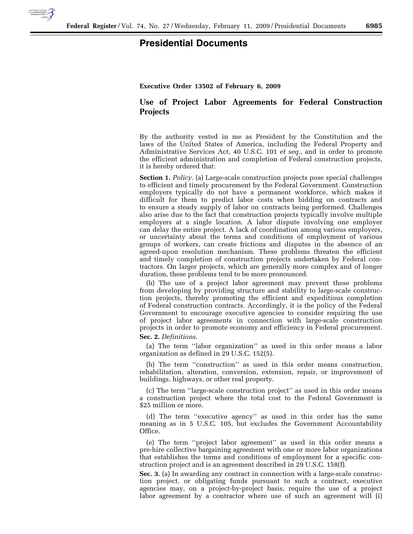

## **Presidential Documents**

**Executive Order 13502 of February 6, 2009** 

## **Use of Project Labor Agreements for Federal Construction Projects**

By the authority vested in me as President by the Constitution and the laws of the United States of America, including the Federal Property and Administrative Services Act, 40 U.S.C. 101 *et seq.*, and in order to promote the efficient administration and completion of Federal construction projects, it is hereby ordered that:

**Section 1.** *Policy.* (a) Large-scale construction projects pose special challenges to efficient and timely procurement by the Federal Government. Construction employers typically do not have a permanent workforce, which makes it difficult for them to predict labor costs when bidding on contracts and to ensure a steady supply of labor on contracts being performed. Challenges also arise due to the fact that construction projects typically involve multiple employers at a single location. A labor dispute involving one employer can delay the entire project. A lack of coordination among various employers, or uncertainty about the terms and conditions of employment of various groups of workers, can create frictions and disputes in the absence of an agreed-upon resolution mechanism. These problems threaten the efficient and timely completion of construction projects undertaken by Federal contractors. On larger projects, which are generally more complex and of longer duration, these problems tend to be more pronounced.

(b) The use of a project labor agreement may prevent these problems from developing by providing structure and stability to large-scale construction projects, thereby promoting the efficient and expeditious completion of Federal construction contracts. Accordingly, it is the policy of the Federal Government to encourage executive agencies to consider requiring the use of project labor agreements in connection with large-scale construction projects in order to promote economy and efficiency in Federal procurement. **Sec. 2.** *Definitions.* 

(a) The term ''labor organization'' as used in this order means a labor organization as defined in 29 U.S.C. 152(5).

(b) The term ''construction'' as used in this order means construction, rehabilitation, alteration, conversion, extension, repair, or improvement of buildings, highways, or other real property.

(c) The term ''large-scale construction project'' as used in this order means a construction project where the total cost to the Federal Government is \$25 million or more.

(d) The term ''executive agency'' as used in this order has the same meaning as in 5 U.S.C. 105, but excludes the Government Accountability Office.

(e) The term ''project labor agreement'' as used in this order means a pre-hire collective bargaining agreement with one or more labor organizations that establishes the terms and conditions of employment for a specific construction project and is an agreement described in 29 U.S.C. 158(f).

**Sec. 3.** (a) In awarding any contract in connection with a large-scale construction project, or obligating funds pursuant to such a contract, executive agencies may, on a project-by-project basis, require the use of a project labor agreement by a contractor where use of such an agreement will (i)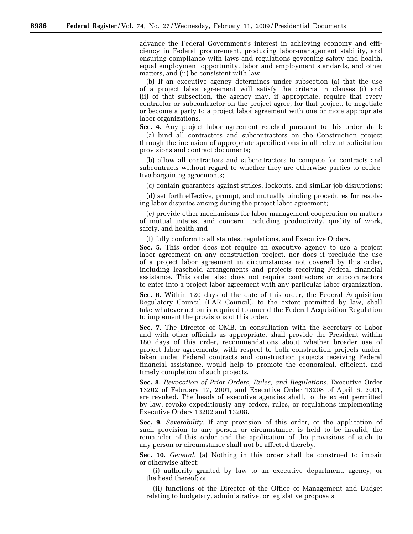advance the Federal Government's interest in achieving economy and efficiency in Federal procurement, producing labor-management stability, and ensuring compliance with laws and regulations governing safety and health, equal employment opportunity, labor and employment standards, and other matters, and (ii) be consistent with law.

(b) If an executive agency determines under subsection (a) that the use of a project labor agreement will satisfy the criteria in clauses (i) and (ii) of that subsection, the agency may, if appropriate, require that every contractor or subcontractor on the project agree, for that project, to negotiate or become a party to a project labor agreement with one or more appropriate labor organizations.

**Sec. 4.** Any project labor agreement reached pursuant to this order shall:

(a) bind all contractors and subcontractors on the Construction project through the inclusion of appropriate specifications in all relevant solicitation provisions and contract documents;

(b) allow all contractors and subcontractors to compete for contracts and subcontracts without regard to whether they are otherwise parties to collective bargaining agreements;

(c) contain guarantees against strikes, lockouts, and similar job disruptions;

(d) set forth effective, prompt, and mutually binding procedures for resolving labor disputes arising during the project labor agreement;

(e) provide other mechanisms for labor-management cooperation on matters of mutual interest and concern, including productivity, quality of work, safety, and health;and

(f) fully conform to all statutes, regulations, and Executive Orders.

**Sec. 5.** This order does not require an executive agency to use a project labor agreement on any construction project, nor does it preclude the use of a project labor agreement in circumstances not covered by this order, including leasehold arrangements and projects receiving Federal financial assistance. This order also does not require contractors or subcontractors to enter into a project labor agreement with any particular labor organization.

**Sec. 6.** Within 120 days of the date of this order, the Federal Acquisition Regulatory Council (FAR Council), to the extent permitted by law, shall take whatever action is required to amend the Federal Acquisition Regulation to implement the provisions of this order.

**Sec. 7.** The Director of OMB, in consultation with the Secretary of Labor and with other officials as appropriate, shall provide the President within 180 days of this order, recommendations about whether broader use of project labor agreements, with respect to both construction projects undertaken under Federal contracts and construction projects receiving Federal financial assistance, would help to promote the economical, efficient, and timely completion of such projects.

**Sec. 8.** *Revocation of Prior Orders, Rules, and Regulations.* Executive Order 13202 of February 17, 2001, and Executive Order 13208 of April 6, 2001, are revoked. The heads of executive agencies shall, to the extent permitted by law, revoke expeditiously any orders, rules, or regulations implementing Executive Orders 13202 and 13208.

**Sec. 9.** *Severability.* If any provision of this order, or the application of such provision to any person or circumstance, is held to be invalid, the remainder of this order and the application of the provisions of such to any person or circumstance shall not be affected thereby.

**Sec. 10.** *General.* (a) Nothing in this order shall be construed to impair or otherwise affect:

(i) authority granted by law to an executive department, agency, or the head thereof; or

(ii) functions of the Director of the Office of Management and Budget relating to budgetary, administrative, or legislative proposals.